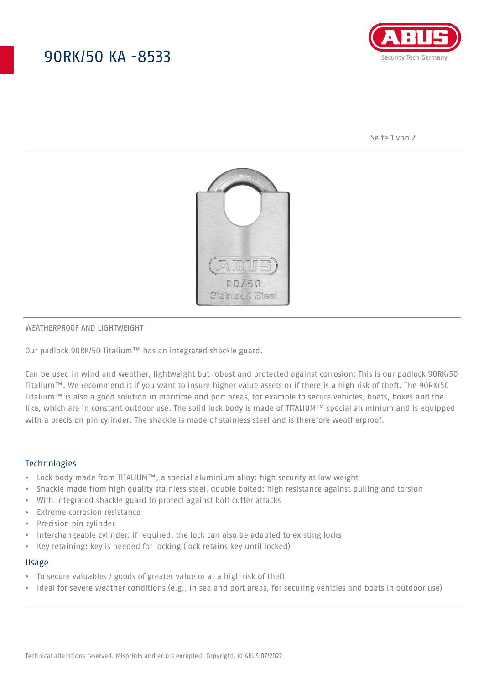## 90RK/50 KA -8533



Seite 1 von 2



#### WEATHERPROOF AND LIGHTWEIGHT

Our padlock 90RK/50 Titalium™ has an integrated shackle guard.

Can be used in wind and weather, lightweight but robust and protected against corrosion: This is our padlock 90RK/50 Titalium™. We recommend it if you want to insure higher value assets or if there is a high risk of theft. The 90RK/50 Titalium™ is also a good solution in maritime and port areas, for example to secure vehicles, boats, boxes and the like, which are in constant outdoor use. The solid lock body is made of TITALIUM™ special aluminium and is equipped with a precision pin cylinder. The shackle is made of stainless steel and is therefore weatherproof.

#### **Technologies**

- Lock body made from TITALIUM™, a special aluminium alloy: high security at low weight
- Shackle made from high quality stainless steel, double bolted: high resistance against pulling and torsion
- With integrated shackle guard to protect against bolt cutter attacks
- Extreme corrosion resistance
- Precision pin cylinder
- Interchangeable cylinder: if required, the lock can also be adapted to existing locks
- Key retaining: key is needed for locking (lock retains key until locked)

#### Usage

- To secure valuables / goods of greater value or at a high risk of theft
- Ideal for severe weather conditions (e.g., in sea and port areas, for securing vehicles and boats in outdoor use)